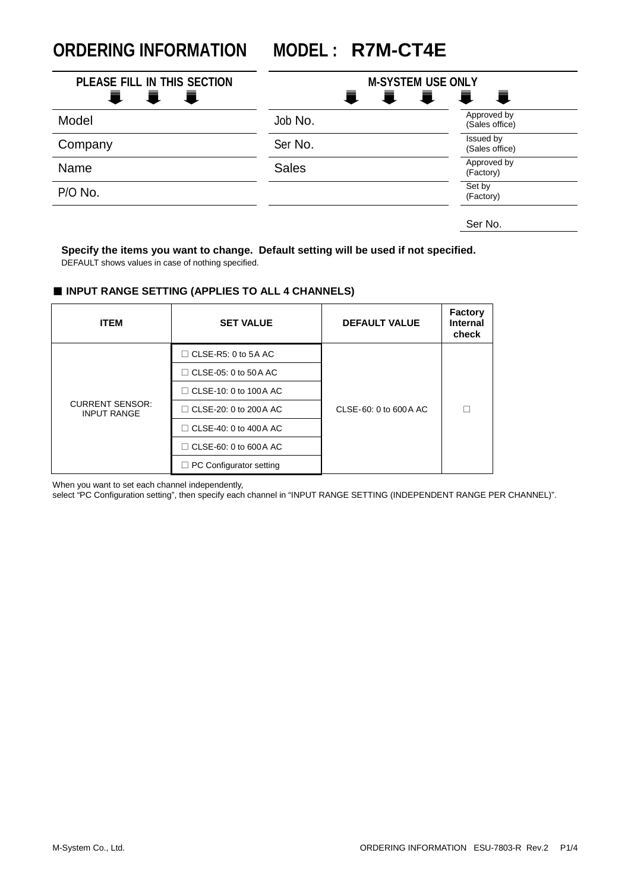**ORDERING INFORMATION MODEL : R7M-CT4E**

| PLEASE FILL IN THIS SECTION<br>一章<br>量<br>Ħ. | 量            | <b>M-SYSTEM USE ONLY</b><br>眞<br>$\mathbf{E}$<br>一章 |
|----------------------------------------------|--------------|-----------------------------------------------------|
| Model                                        | Job No.      | Approved by<br>(Sales office)                       |
| Company                                      | Ser No.      | Issued by<br>(Sales office)                         |
| Name                                         | <b>Sales</b> | Approved by<br>(Factory)                            |
| P/O No.                                      |              | Set by<br>(Factory)                                 |
|                                              |              | Ser No.                                             |

**Specify the items you want to change. Default setting will be used if not specified.** DEFAULT shows values in case of nothing specified.

#### ■ **INPUT RANGE SETTING (APPLIES TO ALL 4 CHANNELS)**

| <b>ITEM</b>                                  | <b>SET VALUE</b>               | <b>DEFAULT VALUE</b>   | <b>Factory</b><br><b>Internal</b><br>check |
|----------------------------------------------|--------------------------------|------------------------|--------------------------------------------|
|                                              | $\Box$ CLSE-R5: 0 to 5A AC     |                        |                                            |
| <b>CURRENT SENSOR:</b><br><b>INPUT RANGE</b> | $\Box$ CLSE-05: 0 to 50A AC    |                        |                                            |
|                                              | $\Box$ CLSE-10: 0 to 100 A AC  |                        |                                            |
|                                              | $\Box$ CLSE-20: 0 to 200 A AC  | CLSE-60: 0 to 600 A AC |                                            |
|                                              | $\Box$ CLSE-40: 0 to 400 A AC  |                        |                                            |
|                                              | $\Box$ CLSE-60: 0 to 600 A AC  |                        |                                            |
|                                              | $\Box$ PC Configurator setting |                        |                                            |

When you want to set each channel independently,

select "PC Configuration setting", then specify each channel in "INPUT RANGE SETTING (INDEPENDENT RANGE PER CHANNEL)".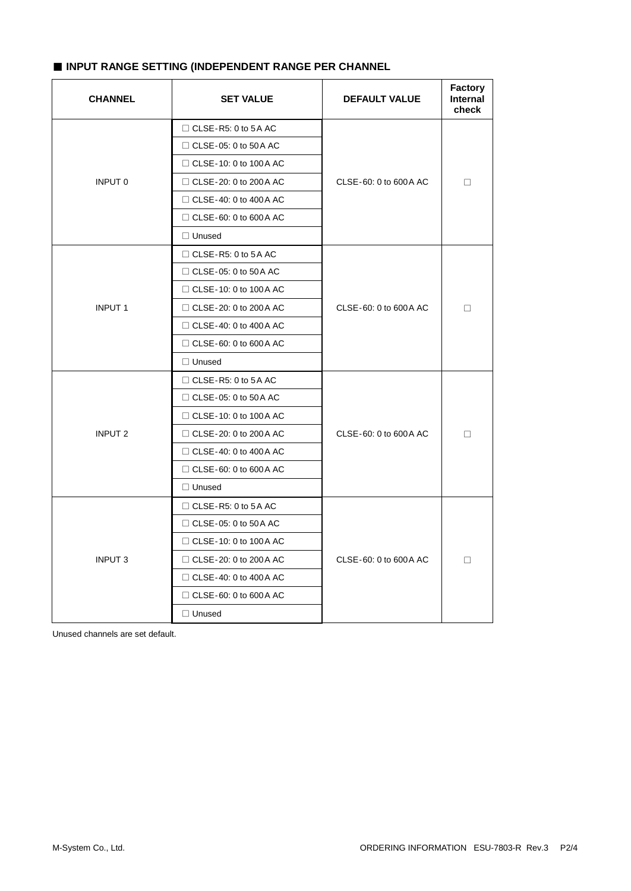### ■ **INPUT RANGE SETTING (INDEPENDENT RANGE PER CHANNEL**

| <b>CHANNEL</b> | <b>SET VALUE</b>              | <b>DEFAULT VALUE</b>   | <b>Factory</b><br><b>Internal</b><br>check |
|----------------|-------------------------------|------------------------|--------------------------------------------|
|                | $\Box$ CLSE-R5: 0 to 5A AC    |                        |                                            |
|                | $\Box$ CLSE-05: 0 to 50 A AC  |                        |                                            |
|                | $\Box$ CLSE-10: 0 to 100 A AC |                        |                                            |
| INPUT 0        | $\Box$ CLSE-20: 0 to 200 A AC | CLSE-60: 0 to 600 A AC | □                                          |
|                | $\Box$ CLSE-40: 0 to 400 A AC |                        |                                            |
|                | $\Box$ CLSE-60: 0 to 600 A AC |                        |                                            |
|                | $\Box$ Unused                 | CLSE-60: 0 to 600 A AC |                                            |
|                | $\Box$ CLSE-R5: 0 to 5A AC    |                        |                                            |
|                | $\Box$ CLSE-05: 0 to 50 A AC  |                        |                                            |
|                | $\Box$ CLSE-10: 0 to 100 A AC |                        |                                            |
| <b>INPUT 1</b> | $\Box$ CLSE-20: 0 to 200 A AC |                        | П                                          |
|                | $\Box$ CLSE-40: 0 to 400 A AC |                        |                                            |
|                | $\Box$ CLSE-60: 0 to 600 A AC |                        |                                            |
|                | $\Box$ Unused                 |                        |                                            |
|                | $\Box$ CLSE-R5: 0 to 5A AC    |                        |                                            |
|                | $\Box$ CLSE-05: 0 to 50A AC   |                        |                                            |
|                | $\Box$ CLSE-10: 0 to 100 A AC |                        |                                            |
| <b>INPUT 2</b> | $\Box$ CLSE-20: 0 to 200 A AC | CLSE-60: 0 to 600 A AC | $\Box$                                     |
|                | $\Box$ CLSE-40: 0 to 400 A AC |                        |                                            |
|                | $\Box$ CLSE-60: 0 to 600 A AC |                        |                                            |
|                | $\Box$ Unused                 |                        |                                            |
|                | $\Box$ CLSE-R5: 0 to 5A AC    |                        |                                            |
|                | $\Box$ CLSE-05: 0 to 50 A AC  |                        |                                            |
|                | $\Box$ CLSE-10: 0 to 100 A AC |                        |                                            |
| <b>INPUT 3</b> | $\Box$ CLSE-20: 0 to 200 A AC | CLSE-60: 0 to 600 A AC | п                                          |
|                | $\Box$ CLSE-40: 0 to 400 A AC |                        |                                            |
|                | $\Box$ CLSE-60: 0 to 600 A AC |                        |                                            |
|                | $\Box$ Unused                 |                        |                                            |

Unused channels are set default.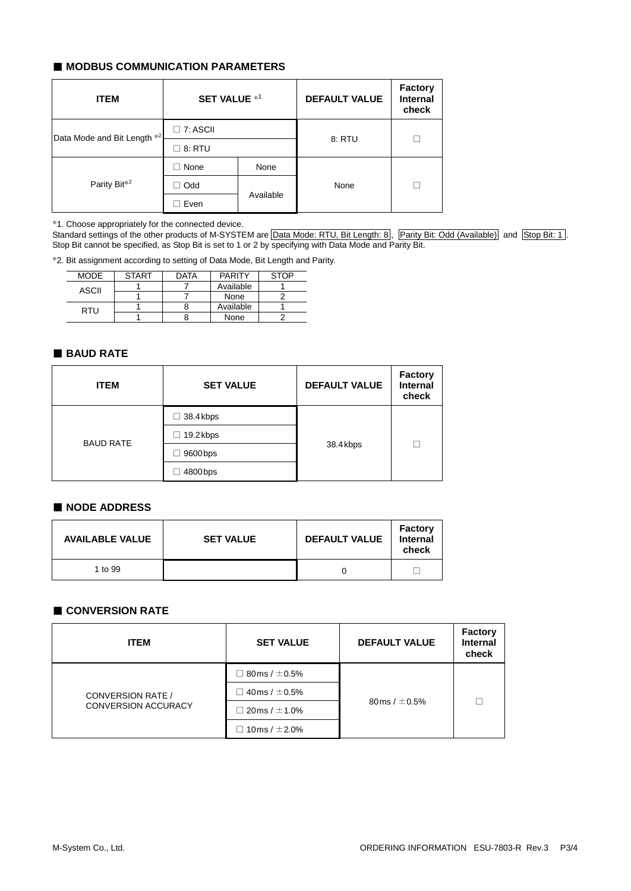### ■ **MODBUS COMMUNICATION PARAMETERS**

| <b>ITEM</b>                 | <b>SET VALUE *1</b> |           | <b>DEFAULT VALUE</b> | <b>Factory</b><br><b>Internal</b><br>check |
|-----------------------------|---------------------|-----------|----------------------|--------------------------------------------|
| Data Mode and Bit Length *2 | $\Box$ 7: ASCII     |           | 8: RTU               | П                                          |
|                             | $\Box$ 8: RTU       |           |                      |                                            |
|                             | $\Box$ None         | None      |                      |                                            |
| Parity Bit <sup>*2</sup>    | Odd                 |           | None                 | п                                          |
|                             | Even                | Available |                      |                                            |

\*1. Choose appropriately for the connected device.

Standard settings of the other products of M-SYSTEM are Data Mode: RTU, Bit Length: 8, Parity Bit: Odd (Available) and Stop Bit: 1. Stop Bit cannot be specified, as Stop Bit is set to 1 or 2 by specifying with Data Mode and Parity Bit.

\*2. Bit assignment according to setting of Data Mode, Bit Length and Parity.

| <b>MODE</b> | <b>START</b> | <b>DATA</b> | <b>PARITY</b> | <b>STOP</b> |
|-------------|--------------|-------------|---------------|-------------|
| ASCII       |              |             | Available     |             |
|             |              |             | None          |             |
| RTU         |              |             | Available     |             |
|             |              |             | None          |             |

### ■ **BAUD RATE**

| <b>ITEM</b>      | <b>SET VALUE</b> | <b>DEFAULT VALUE</b> | <b>Factory</b><br><b>Internal</b><br>check |
|------------------|------------------|----------------------|--------------------------------------------|
| <b>BAUD RATE</b> | $\Box$ 38.4 kbps | 38.4kbps             |                                            |
|                  | $\Box$ 19.2 kbps |                      | г                                          |
|                  | 9600 bps         |                      |                                            |
|                  | 4800 bps         |                      |                                            |

# ■ **NODE ADDRESS**

| <b>AVAILABLE VALUE</b> | <b>SET VALUE</b> | <b>DEFAULT VALUE</b> | <b>Factory</b><br>Internal<br>check |
|------------------------|------------------|----------------------|-------------------------------------|
| 1 to 99                |                  |                      |                                     |

# ■ **CONVERSION RATE**

| <b>ITEM</b>                                            | <b>SET VALUE</b>          | <b>DEFAULT VALUE</b> | <b>Factory</b><br><b>Internal</b><br>check |
|--------------------------------------------------------|---------------------------|----------------------|--------------------------------------------|
| <b>CONVERSION RATE /</b><br><b>CONVERSION ACCURACY</b> | $\Box$ 80 ms / $\pm$ 0.5% | 80 ms / $\pm$ 0.5%   |                                            |
|                                                        | $\Box$ 40 ms / $\pm$ 0.5% |                      |                                            |
|                                                        | $\Box$ 20 ms / $\pm$ 1.0% |                      |                                            |
|                                                        | $\Box$ 10ms / $\pm$ 2.0%  |                      |                                            |